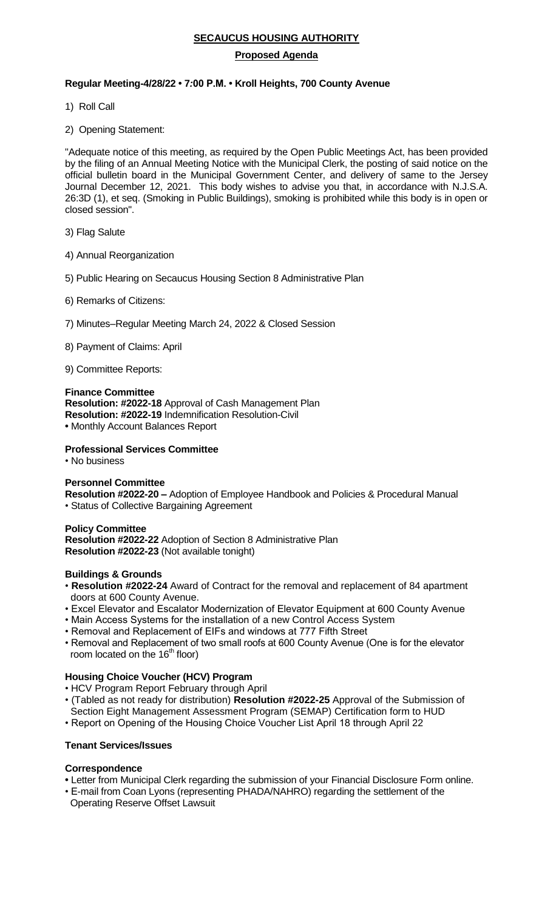### **SECAUCUS HOUSING AUTHORITY**

### **Proposed Agenda**

# **Regular Meeting-4/28/22 • 7***:***00 P.M. • Kroll Heights, 700 County Avenue**

- 1) Roll Call
- 2) Opening Statement:

"Adequate notice of this meeting, as required by the Open Public Meetings Act, has been provided by the filing of an Annual Meeting Notice with the Municipal Clerk, the posting of said notice on the official bulletin board in the Municipal Government Center, and delivery of same to the Jersey Journal December 12, 2021. This body wishes to advise you that, in accordance with N.J.S.A. 26:3D (1), et seq. (Smoking in Public Buildings), smoking is prohibited while this body is in open or closed session".

- 3) Flag Salute
- 4) Annual Reorganization
- 5) Public Hearing on Secaucus Housing Section 8 Administrative Plan
- 6) Remarks of Citizens:
- 7) Minutes–Regular Meeting March 24, 2022 & Closed Session
- 8) Payment of Claims: April
- 9) Committee Reports:

#### **Finance Committee**

**Resolution: #2022-18** Approval of Cash Management Plan **Resolution: #2022-19** Indemnification Resolution-Civil **•** Monthly Account Balances Report

#### **Professional Services Committee**

• No business

#### **Personnel Committee**

**Resolution #2022-20 –** Adoption of Employee Handbook and Policies & Procedural Manual • Status of Collective Bargaining Agreement

### **Policy Committee Resolution #2022-22** Adoption of Section 8 Administrative Plan **Resolution #2022-23** (Not available tonight)

#### **Buildings & Grounds**

- **Resolution #2022-24** Award of Contract for the removal and replacement of 84 apartment doors at 600 County Avenue.
- Excel Elevator and Escalator Modernization of Elevator Equipment at 600 County Avenue
- Main Access Systems for the installation of a new Control Access System
- Removal and Replacement of EIFs and windows at 777 Fifth Street
- Removal and Replacement of two small roofs at 600 County Avenue (One is for the elevator room located on the 16<sup>th</sup> floor)

### **Housing Choice Voucher (HCV) Program**

- HCV Program Report February through April
- (Tabled as not ready for distribution) **Resolution #2022-25** Approval of the Submission of Section Eight Management Assessment Program (SEMAP) Certification form to HUD
- Report on Opening of the Housing Choice Voucher List April 18 through April 22

#### **Tenant Services/Issues**

#### **Correspondence**

- Letter from Municipal Clerk regarding the submission of your Financial Disclosure Form online.
- E-mail from Coan Lyons (representing PHADA/NAHRO) regarding the settlement of the Operating Reserve Offset Lawsuit